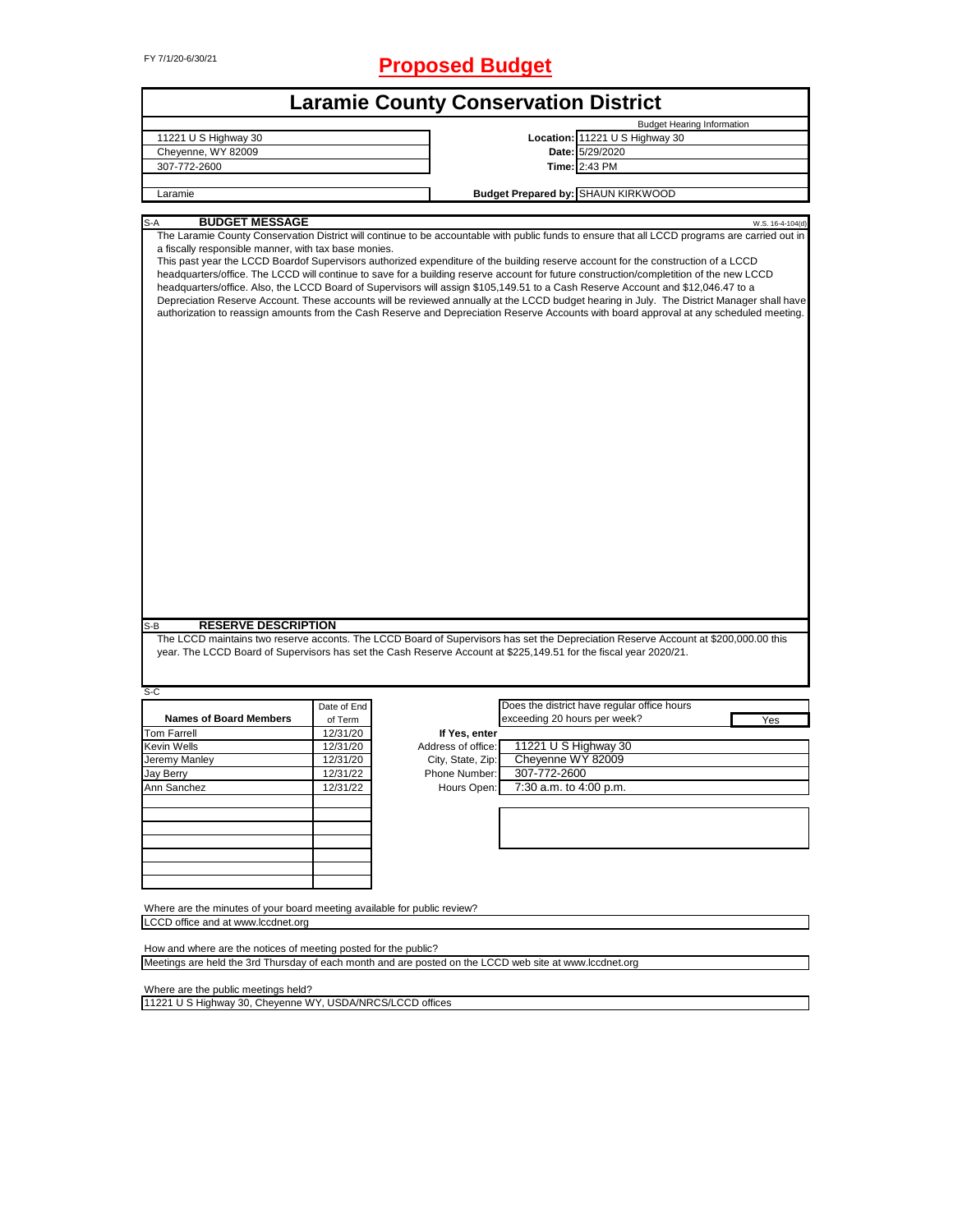# FY 7/1/20-6/30/21 **Proposed Budget**

|                                                                                                                   |             | <b>Laramie County Conservation District</b> |                              |                                                                                                                                                                                                                                                                                                                                                                                                                                                                                                                                                                                                                                                                                                                                                                                                                                                                                 |
|-------------------------------------------------------------------------------------------------------------------|-------------|---------------------------------------------|------------------------------|---------------------------------------------------------------------------------------------------------------------------------------------------------------------------------------------------------------------------------------------------------------------------------------------------------------------------------------------------------------------------------------------------------------------------------------------------------------------------------------------------------------------------------------------------------------------------------------------------------------------------------------------------------------------------------------------------------------------------------------------------------------------------------------------------------------------------------------------------------------------------------|
|                                                                                                                   |             |                                             |                              | <b>Budget Hearing Information</b>                                                                                                                                                                                                                                                                                                                                                                                                                                                                                                                                                                                                                                                                                                                                                                                                                                               |
| 11221 U S Highway 30                                                                                              |             |                                             |                              | Location: 11221 U S Highway 30                                                                                                                                                                                                                                                                                                                                                                                                                                                                                                                                                                                                                                                                                                                                                                                                                                                  |
| Cheyenne, WY 82009                                                                                                |             |                                             |                              | Date: 5/29/2020                                                                                                                                                                                                                                                                                                                                                                                                                                                                                                                                                                                                                                                                                                                                                                                                                                                                 |
| 307-772-2600                                                                                                      |             |                                             |                              | Time: 2:43 PM                                                                                                                                                                                                                                                                                                                                                                                                                                                                                                                                                                                                                                                                                                                                                                                                                                                                   |
|                                                                                                                   |             |                                             |                              |                                                                                                                                                                                                                                                                                                                                                                                                                                                                                                                                                                                                                                                                                                                                                                                                                                                                                 |
| Laramie                                                                                                           |             |                                             |                              | <b>Budget Prepared by: SHAUN KIRKWOOD</b>                                                                                                                                                                                                                                                                                                                                                                                                                                                                                                                                                                                                                                                                                                                                                                                                                                       |
| <b>BUDGET MESSAGE</b><br>S-A                                                                                      |             |                                             |                              |                                                                                                                                                                                                                                                                                                                                                                                                                                                                                                                                                                                                                                                                                                                                                                                                                                                                                 |
| a fiscally responsible manner, with tax base monies.                                                              |             |                                             |                              | W.S. 16-4-104(d)<br>The Laramie County Conservation District will continue to be accountable with public funds to ensure that all LCCD programs are carried out in<br>This past year the LCCD Boardof Supervisors authorized expenditure of the building reserve account for the construction of a LCCD<br>headquarters/office. The LCCD will continue to save for a building reserve account for future construction/completition of the new LCCD<br>headquarters/office. Also, the LCCD Board of Supervisors will assign \$105,149.51 to a Cash Reserve Account and \$12,046.47 to a<br>Depreciation Reserve Account. These accounts will be reviewed annually at the LCCD budget hearing in July. The District Manager shall have<br>authorization to reassign amounts from the Cash Reserve and Depreciation Reserve Accounts with board approval at any scheduled meeting. |
|                                                                                                                   |             |                                             |                              |                                                                                                                                                                                                                                                                                                                                                                                                                                                                                                                                                                                                                                                                                                                                                                                                                                                                                 |
|                                                                                                                   |             |                                             |                              |                                                                                                                                                                                                                                                                                                                                                                                                                                                                                                                                                                                                                                                                                                                                                                                                                                                                                 |
| <b>RESERVE DESCRIPTION</b><br>S-B                                                                                 |             |                                             |                              |                                                                                                                                                                                                                                                                                                                                                                                                                                                                                                                                                                                                                                                                                                                                                                                                                                                                                 |
| year. The LCCD Board of Supervisors has set the Cash Reserve Account at \$225,149.51 for the fiscal year 2020/21. |             |                                             |                              | The LCCD maintains two reserve acconts. The LCCD Board of Supervisors has set the Depreciation Reserve Account at \$200,000.00 this                                                                                                                                                                                                                                                                                                                                                                                                                                                                                                                                                                                                                                                                                                                                             |
|                                                                                                                   |             |                                             |                              |                                                                                                                                                                                                                                                                                                                                                                                                                                                                                                                                                                                                                                                                                                                                                                                                                                                                                 |
|                                                                                                                   | Date of End |                                             |                              | Does the district have regular office hours                                                                                                                                                                                                                                                                                                                                                                                                                                                                                                                                                                                                                                                                                                                                                                                                                                     |
| <b>Names of Board Members</b>                                                                                     | of Term     |                                             | exceeding 20 hours per week? | Yes                                                                                                                                                                                                                                                                                                                                                                                                                                                                                                                                                                                                                                                                                                                                                                                                                                                                             |
|                                                                                                                   | 12/31/20    | If Yes, enter                               |                              |                                                                                                                                                                                                                                                                                                                                                                                                                                                                                                                                                                                                                                                                                                                                                                                                                                                                                 |
|                                                                                                                   | 12/31/20    | Address of office:                          | 11221 U S Highway 30         |                                                                                                                                                                                                                                                                                                                                                                                                                                                                                                                                                                                                                                                                                                                                                                                                                                                                                 |
| Jeremy Manley                                                                                                     | 12/31/20    | City, State, Zip:                           | Cheyenne WY 82009            |                                                                                                                                                                                                                                                                                                                                                                                                                                                                                                                                                                                                                                                                                                                                                                                                                                                                                 |
|                                                                                                                   | 12/31/22    | Phone Number:                               | 307-772-2600                 |                                                                                                                                                                                                                                                                                                                                                                                                                                                                                                                                                                                                                                                                                                                                                                                                                                                                                 |
|                                                                                                                   | 12/31/22    | Hours Open:                                 | 7:30 a.m. to 4:00 p.m.       |                                                                                                                                                                                                                                                                                                                                                                                                                                                                                                                                                                                                                                                                                                                                                                                                                                                                                 |
| <b>Tom Farrell</b><br>Kevin Wells<br>Jay Berry                                                                    |             |                                             |                              |                                                                                                                                                                                                                                                                                                                                                                                                                                                                                                                                                                                                                                                                                                                                                                                                                                                                                 |
|                                                                                                                   |             |                                             |                              |                                                                                                                                                                                                                                                                                                                                                                                                                                                                                                                                                                                                                                                                                                                                                                                                                                                                                 |
|                                                                                                                   |             |                                             |                              |                                                                                                                                                                                                                                                                                                                                                                                                                                                                                                                                                                                                                                                                                                                                                                                                                                                                                 |
|                                                                                                                   |             |                                             |                              |                                                                                                                                                                                                                                                                                                                                                                                                                                                                                                                                                                                                                                                                                                                                                                                                                                                                                 |
|                                                                                                                   |             |                                             |                              |                                                                                                                                                                                                                                                                                                                                                                                                                                                                                                                                                                                                                                                                                                                                                                                                                                                                                 |
| S-C<br>Ann Sanchez                                                                                                |             |                                             |                              |                                                                                                                                                                                                                                                                                                                                                                                                                                                                                                                                                                                                                                                                                                                                                                                                                                                                                 |
|                                                                                                                   |             |                                             |                              |                                                                                                                                                                                                                                                                                                                                                                                                                                                                                                                                                                                                                                                                                                                                                                                                                                                                                 |
|                                                                                                                   |             |                                             |                              |                                                                                                                                                                                                                                                                                                                                                                                                                                                                                                                                                                                                                                                                                                                                                                                                                                                                                 |
| Where are the minutes of your board meeting available for public review?                                          |             |                                             |                              |                                                                                                                                                                                                                                                                                                                                                                                                                                                                                                                                                                                                                                                                                                                                                                                                                                                                                 |
| LCCD office and at www.lccdnet.org                                                                                |             |                                             |                              |                                                                                                                                                                                                                                                                                                                                                                                                                                                                                                                                                                                                                                                                                                                                                                                                                                                                                 |

Meetings are held the 3rd Thursday of each month and are posted on the LCCD web site at www.lccdnet.org

Where are the public meetings held?

11221 U S Highway 30, Cheyenne WY, USDA/NRCS/LCCD offices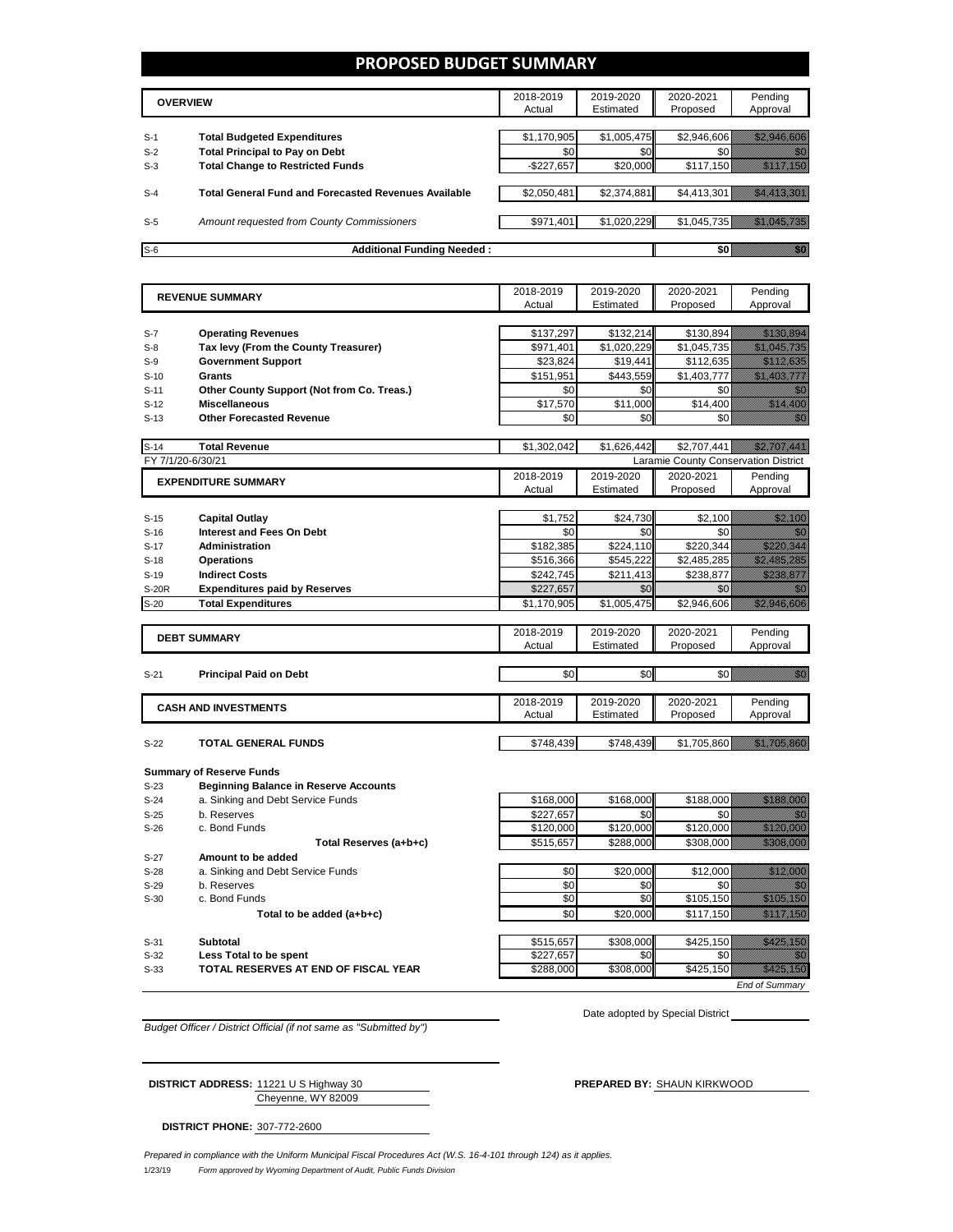### **PROPOSED BUDGET SUMMARY**

|       | <b>OVERVIEW</b>                                             | 2018-2019<br>Actual | 2019-2020<br>Estimated | 2020-2021<br>Proposed | Pending<br>Approval |
|-------|-------------------------------------------------------------|---------------------|------------------------|-----------------------|---------------------|
| $S-1$ | <b>Total Budgeted Expenditures</b>                          | \$1,170,905         | \$1,005,475            | \$2.946.606           |                     |
| $S-2$ | <b>Total Principal to Pay on Debt</b>                       | \$0                 | \$0                    |                       |                     |
| $S-3$ | <b>Total Change to Restricted Funds</b>                     | $-$227,657$         | \$20,000               | \$117,150             |                     |
|       |                                                             |                     |                        |                       |                     |
| $S-4$ | <b>Total General Fund and Forecasted Revenues Available</b> | \$2.050.481         | \$2,374,881            | \$4,413,301           |                     |
| $S-5$ | Amount requested from County Commissioners                  | \$971,401           | \$1,020,229            | \$1,045,735           |                     |
| $S-6$ | <b>Additional Funding Needed:</b>                           |                     |                        |                       |                     |

|                        |                                              | 2018-2019   | 2019-2020   | 2020-2021                            | Pending                                                                                                               |
|------------------------|----------------------------------------------|-------------|-------------|--------------------------------------|-----------------------------------------------------------------------------------------------------------------------|
| <b>REVENUE SUMMARY</b> |                                              | Actual      | Estimated   | Proposed                             | Approval                                                                                                              |
|                        |                                              |             |             |                                      |                                                                                                                       |
| $S-7$                  | <b>Operating Revenues</b>                    | \$137,297   | \$132,214   | \$130,894                            | <u> Hillian San Barat San Barat San Barat San Barat San Barat San Barat San Barat San Barat San Barat San Barat S</u> |
| $S-8$                  | Tax levy (From the County Treasurer)         | \$971,401   | \$1,020,229 | \$1,045,735                          | <u> Kalendari Ka</u>                                                                                                  |
| $S-9$                  | <b>Government Support</b>                    | \$23,824    | \$19,441    | \$112,635                            |                                                                                                                       |
| $S-10$                 | Grants                                       | \$151,951   | \$443,559   | \$1,403,777                          | <u> Martin Tilling</u>                                                                                                |
| $S-11$                 | Other County Support (Not from Co. Treas.)   | \$0         | \$0         | \$0                                  | en de la filosofia<br>Altres de la filòlogía                                                                          |
| $S-12$                 | <b>Miscellaneous</b>                         | \$17,570    | \$11,000    | \$14,400                             | <u> Karlin (Karlin Sa</u>                                                                                             |
| $S-13$                 | <b>Other Forecasted Revenue</b>              | \$0         | \$0         | \$0                                  | en de la filosofia<br>Monte de la filòlogía                                                                           |
|                        |                                              |             |             |                                      |                                                                                                                       |
| $S-14$                 | <b>Total Revenue</b>                         | \$1,302,042 | \$1,626,442 | \$2,707,441                          | <u> Martin Salah Sera</u>                                                                                             |
| FY 7/1/20-6/30/21      |                                              |             |             | Laramie County Conservation District |                                                                                                                       |
|                        | <b>EXPENDITURE SUMMARY</b>                   | 2018-2019   | 2019-2020   | 2020-2021                            | Pending                                                                                                               |
|                        |                                              | Actual      | Estimated   | Proposed                             | Approval                                                                                                              |
|                        |                                              |             |             |                                      |                                                                                                                       |
| $S-15$                 | <b>Capital Outlay</b>                        | \$1,752     | \$24,730    | \$2,100                              | <u>till fram e</u>                                                                                                    |
| $S-16$                 | <b>Interest and Fees On Debt</b>             | \$0         | \$0         | \$0                                  |                                                                                                                       |
| $S-17$                 | <b>Administration</b>                        | \$182,385   | \$224,110   | \$220,344                            | <u>Maratan Se</u>                                                                                                     |
| $S-18$                 | <b>Operations</b>                            | \$516,366   | \$545,222   | \$2,485,285                          | <u> Miller Schlift (1988)</u>                                                                                         |
| $S-19$                 | <b>Indirect Costs</b>                        | \$242,745   | \$211,413   | \$238,877                            | <u>Mariti S</u>                                                                                                       |
| <b>S-20R</b>           | <b>Expenditures paid by Reserves</b>         | \$227,657   | \$0         | \$0                                  | an di Kabupatén Grégorian.<br>Kabupatén                                                                               |
| $S-20$                 | <b>Total Expenditures</b>                    | \$1,170,905 | \$1,005,475 | $\overline{$2,946,606}$              | <u> Martin Santa Carlos Sant</u>                                                                                      |
|                        |                                              |             |             |                                      |                                                                                                                       |
|                        | <b>DEBT SUMMARY</b>                          | 2018-2019   | 2019-2020   | 2020-2021                            | Pending                                                                                                               |
|                        |                                              | Actual      | Estimated   | Proposed                             | Approval                                                                                                              |
|                        |                                              |             |             |                                      |                                                                                                                       |
| $S-21$                 | <b>Principal Paid on Debt</b>                | \$0         | \$0         | \$0                                  | <u>Mariti S</u>                                                                                                       |
|                        |                                              |             |             |                                      |                                                                                                                       |
|                        | <b>CASH AND INVESTMENTS</b>                  | 2018-2019   | 2019-2020   | 2020-2021                            | Pending                                                                                                               |
|                        |                                              | Actual      | Estimated   | Proposed                             | Approval                                                                                                              |
|                        |                                              |             |             |                                      |                                                                                                                       |
| $S-22$                 | <b>TOTAL GENERAL FUNDS</b>                   | \$748,439   | \$748,439   | \$1,705,860                          | <u> Karl Sarajević Sarajević Sarajević Sarajević Sarajević Sarajević Sarajević Sarajević Sarajević Sarajević Sa</u>   |
|                        |                                              |             |             |                                      |                                                                                                                       |
|                        | <b>Summary of Reserve Funds</b>              |             |             |                                      |                                                                                                                       |
| $S-23$                 | <b>Beginning Balance in Reserve Accounts</b> |             |             |                                      |                                                                                                                       |
| $S-24$                 | a. Sinking and Debt Service Funds            | \$168,000   | \$168,000   | \$188.000                            | <u> Hiller (Helena)</u>                                                                                               |
| $S-25$                 | b. Reserves                                  | \$227,657   | \$0         | \$0                                  | 79                                                                                                                    |
| $S-26$                 | c. Bond Funds                                | \$120,000   | \$120,000   | \$120,000                            | <u>Maratan </u>                                                                                                       |
|                        | Total Reserves (a+b+c)                       | \$515,657   | \$288,000   | \$308,000                            |                                                                                                                       |
| S-27                   | Amount to be added                           |             |             |                                      |                                                                                                                       |
| $S-28$                 | a. Sinking and Debt Service Funds            | \$0         | \$20,000    | \$12,000                             | <u> Kalifornia</u>                                                                                                    |
| $S-29$                 | b. Reserves                                  | \$0         | \$0         | \$0                                  | a Kabupatén Tan                                                                                                       |
| $S-30$                 | c. Bond Funds                                | \$0         | \$0         | \$105,150                            | <u> Hillingan Sa</u>                                                                                                  |
|                        | Total to be added (a+b+c)                    | \$0         | \$20,000    | \$117,150                            | <u> Hillian Sa</u>                                                                                                    |

S-31 **Subtotal** \$515,657 \$308,000 \$425,150  *\$* S-32 **Less Total to be spent** \$227,657  $\begin{bmatrix} 1 & 0 & 0 \\ 0 & 0 & 0 \\ 0 & 0 & 0 \end{bmatrix}$  \$0 \$0 \$0 **S-33 TOTAL RESERVES AT END OF FISCAL YEAR 1998 1288,000** \$308,000 \$425,150 \$425,150 \$425,150 \$425,150 \$425,150 \$425,150 \$425,150 \$425,150 \$425,150 \$425,150 \$425,150 \$425,150 \$425,150 \$425,150 \$425,150 \$425,150 \$425,15 *End of Summary*

*Budget Officer / District Official (if not same as "Submitted by")*

Date adopted by Special District

Cheyenne, WY 82009 **DISTRICT ADDRESS:** 11221 U S Highway 30 **PREPARED BY:** SHAUN KIRKWOOD

**DISTRICT PHONE:** 307-772-2600

1/23/19 *Form approved by Wyoming Department of Audit, Public Funds Division Prepared in compliance with the Uniform Municipal Fiscal Procedures Act (W.S. 16-4-101 through 124) as it applies.*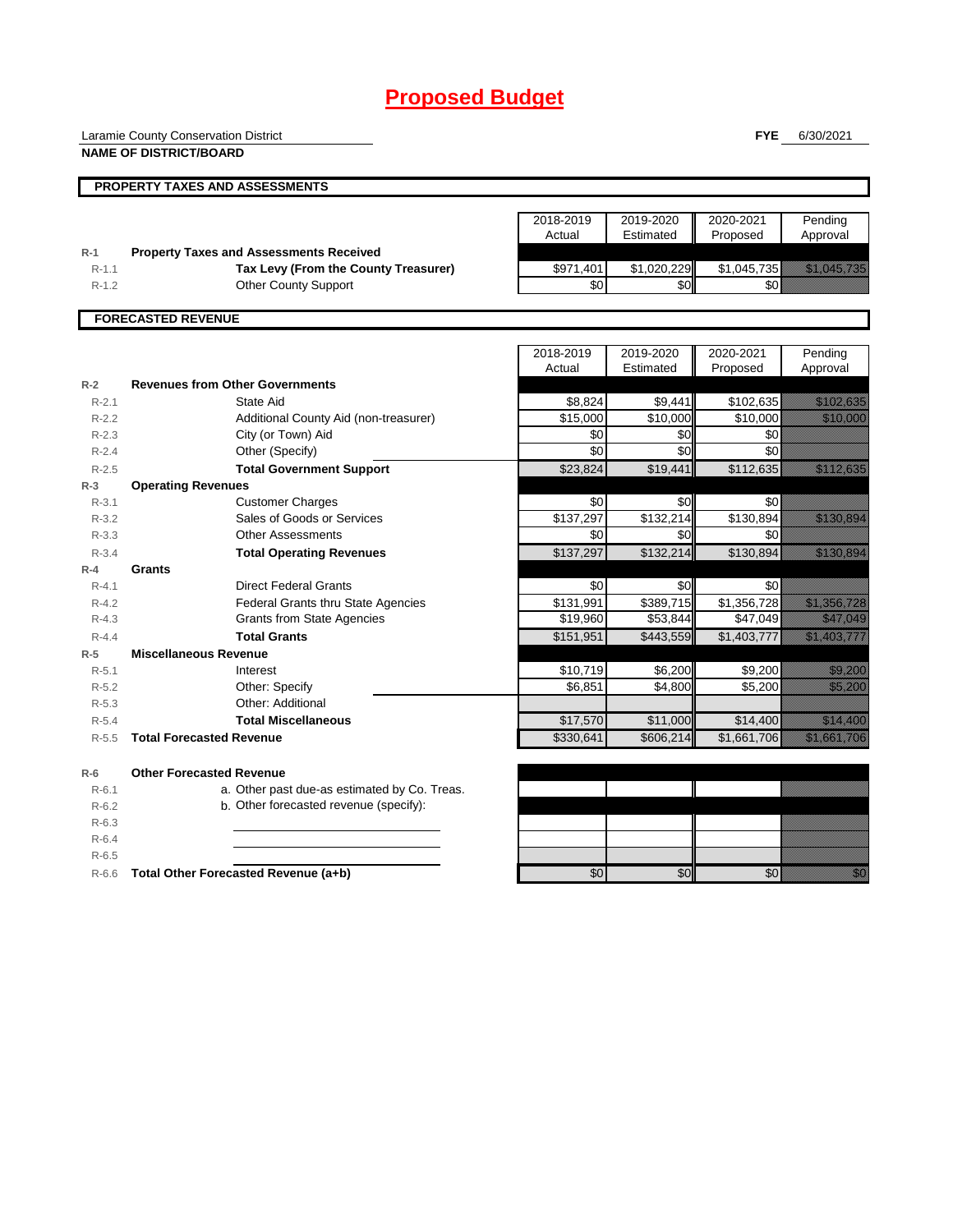## **Proposed Budget**

Laramie County Conservation District

**FYE** 6/30/2021

|           | <b>NAME OF DISTRICT/BOARD</b>                  |                     |                        |                       |                                                                                                                                                                                                                                  |
|-----------|------------------------------------------------|---------------------|------------------------|-----------------------|----------------------------------------------------------------------------------------------------------------------------------------------------------------------------------------------------------------------------------|
|           | PROPERTY TAXES AND ASSESSMENTS                 |                     |                        |                       |                                                                                                                                                                                                                                  |
|           |                                                |                     |                        |                       |                                                                                                                                                                                                                                  |
|           |                                                | 2018-2019<br>Actual | 2019-2020<br>Estimated | 2020-2021<br>Proposed | Pending<br>Approval                                                                                                                                                                                                              |
| $R-1$     | <b>Property Taxes and Assessments Received</b> |                     |                        |                       |                                                                                                                                                                                                                                  |
| $R-1.1$   | Tax Levy (From the County Treasurer)           | \$971,401           | \$1,020,229            | \$1,045,735           | <u> Elizabeth Charles Charles Charles Charles Charles Charles Charles Charles Charles Charles Charles Charles Ch</u>                                                                                                             |
| $R-1.2$   | <b>Other County Support</b>                    | \$0                 | \$0                    | \$0                   |                                                                                                                                                                                                                                  |
|           | <b>FORECASTED REVENUE</b>                      |                     |                        |                       |                                                                                                                                                                                                                                  |
|           |                                                | 2018-2019           | 2019-2020              | 2020-2021             | Pending                                                                                                                                                                                                                          |
|           |                                                | Actual              | Estimated              | Proposed              | Approval                                                                                                                                                                                                                         |
| $R-2$     | <b>Revenues from Other Governments</b>         |                     |                        |                       |                                                                                                                                                                                                                                  |
| $R-2.1$   | State Aid                                      | \$8,824             | \$9,441                | \$102,635             | <u> Maria Maria Indonesia (</u>                                                                                                                                                                                                  |
| $R-2.2$   | Additional County Aid (non-treasurer)          | \$15,000            | \$10,000               | \$10,000              |                                                                                                                                                                                                                                  |
| $R-2.3$   | City (or Town) Aid                             | \$0                 | \$0                    | \$0                   |                                                                                                                                                                                                                                  |
| $R-2.4$   | Other (Specify)                                | \$0                 | \$0                    | $\overline{30}$       |                                                                                                                                                                                                                                  |
| $R-2.5$   | <b>Total Government Support</b>                | \$23,824            | \$19,441               | \$112,635             | <u>tik alaman dalam dalam dalam dalam dalam dalam dalam dalam dalam dalam dalam dalam dalam dalam dalam dalam da</u>                                                                                                             |
| $R-3$     | <b>Operating Revenues</b>                      |                     |                        |                       |                                                                                                                                                                                                                                  |
| $R-3.1$   | <b>Customer Charges</b>                        | \$0                 | \$0                    | \$0                   |                                                                                                                                                                                                                                  |
| $R-3.2$   | Sales of Goods or Services                     | \$137,297           | \$132,214              | \$130,894             | <u> Maria Maria Indonesia (</u>                                                                                                                                                                                                  |
| $R - 3.3$ | <b>Other Assessments</b>                       | \$0                 | \$0                    | \$0                   |                                                                                                                                                                                                                                  |
| $R - 3.4$ | <b>Total Operating Revenues</b>                | \$137,297           | \$132,214              | \$130,894             | <u> Maria Maria I</u>                                                                                                                                                                                                            |
| $R-4$     | Grants                                         |                     |                        |                       |                                                                                                                                                                                                                                  |
| $R - 4.1$ | <b>Direct Federal Grants</b>                   | \$0                 | \$0                    | \$0                   |                                                                                                                                                                                                                                  |
| $R - 4.2$ | Federal Grants thru State Agencies             | \$131,991           | \$389,715              | \$1,356,728           | <u> Kallingan (</u>                                                                                                                                                                                                              |
| $R - 4.3$ | <b>Grants from State Agencies</b>              | \$19,960            | \$53,844               | \$47,049              | a katika katika katika katika katika katika katika katika katika katika katika katika katika katika katika kat<br>Katika katika katika katika katika katika katika katika katika katika katika katika katika katika katika katik |
| $R - 4.4$ | <b>Total Grants</b>                            | \$151,951           | \$443,559              | \$1,403,777           | a katika katika katika katika katika katika katika katika katika katika katika katika katika katika katika kat<br>Katika katika katika katika katika katika katika katika katika katika katika katika katika katika katika katik |
| $R-5$     | <b>Miscellaneous Revenue</b>                   |                     |                        |                       |                                                                                                                                                                                                                                  |
| $R-5.1$   | Interest                                       | \$10,719            | \$6,200                | \$9,200               | <u>ti ka</u>                                                                                                                                                                                                                     |
| $R-5.2$   | Other: Specify                                 | \$6,851             | \$4,800                | \$5,200               | <u>tional and</u>                                                                                                                                                                                                                |
| $R-5.3$   | Other: Additional                              |                     |                        |                       |                                                                                                                                                                                                                                  |
| $R-5.4$   | <b>Total Miscellaneous</b>                     | \$17,570            | \$11,000               | \$14,400              | <u> Karlingan Sa</u>                                                                                                                                                                                                             |
| $R - 5.5$ | <b>Total Forecasted Revenue</b>                | \$330,641           | \$606,214              | \$1,661,706           | <u> Elizabeth Carl</u>                                                                                                                                                                                                           |
| $R-6$     | <b>Other Forecasted Revenue</b>                |                     |                        |                       |                                                                                                                                                                                                                                  |
| $R - 6.1$ | a. Other past due-as estimated by Co. Treas.   |                     |                        |                       |                                                                                                                                                                                                                                  |
| $R-6.2$   | b. Other forecasted revenue (specify):         |                     |                        |                       |                                                                                                                                                                                                                                  |
| $R-6.3$   |                                                |                     |                        |                       |                                                                                                                                                                                                                                  |
| $R-6.4$   |                                                |                     |                        |                       |                                                                                                                                                                                                                                  |
| $R-6.5$   |                                                |                     |                        |                       |                                                                                                                                                                                                                                  |
| $R-6.6$   | Total Other Forecasted Revenue (a+b)           | \$0                 | \$0                    | \$0                   | en de la filosofia<br>Altres de la filosofia                                                                                                                                                                                     |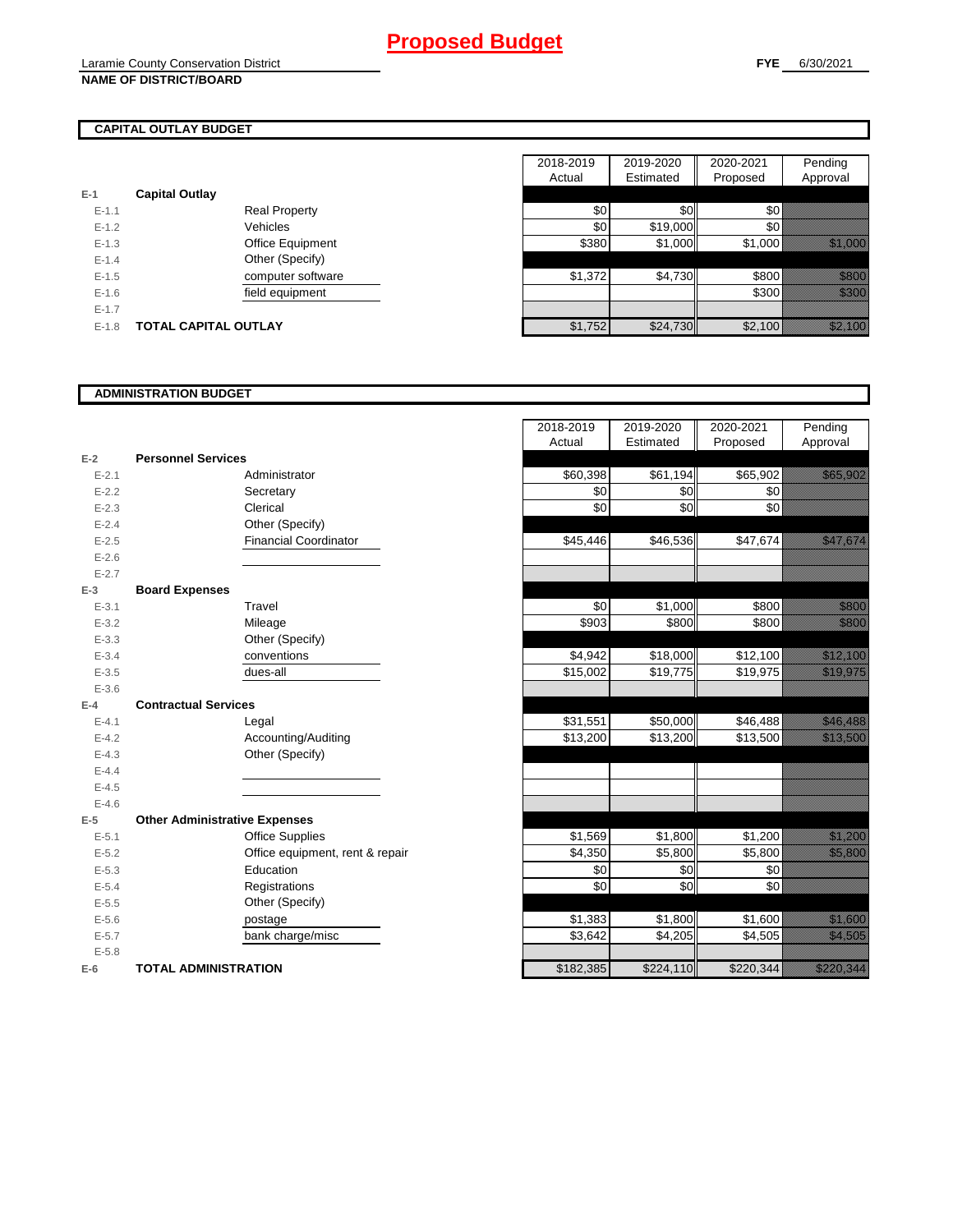## **CAPITAL OUTLAY BUDGET**

| $E-1$     | <b>Capital Outlay</b> |                         |
|-----------|-----------------------|-------------------------|
| $E - 1.1$ |                       | <b>Real Property</b>    |
| $F-12$    |                       | Vehicles                |
| $F-1.3$   |                       | <b>Office Equipment</b> |
| $F-14$    |                       | Other (Specify)         |
| $F-1.5$   |                       | computer software       |
| $F-16$    |                       | field equipment         |
| $F-17$    |                       |                         |
| $F-1.8$   | TOTAL CAPITAL OUTLAY  |                         |

|           |                             | 2018-2019 | 2019-2020 | 2020-2021 | Pending                                                                                                                                                                                                                          |
|-----------|-----------------------------|-----------|-----------|-----------|----------------------------------------------------------------------------------------------------------------------------------------------------------------------------------------------------------------------------------|
|           |                             | Actual    | Estimated | Proposed  | Approval                                                                                                                                                                                                                         |
|           | <b>Capital Outlay</b>       |           |           |           |                                                                                                                                                                                                                                  |
| $E - 1.1$ | <b>Real Property</b>        | \$0       | \$0       | \$0∤      |                                                                                                                                                                                                                                  |
| $E-1.2$   | Vehicles                    | \$0       | \$19,000  | \$0       |                                                                                                                                                                                                                                  |
| $E - 1.3$ | Office Equipment            | \$380     | \$1,000   | \$1,000   | <u>i karatikana ya kusingan kusingan da karatikana ya kusingan da karatikana ya kusingan da karatikana ya kusing</u>                                                                                                             |
| $E - 1.4$ | Other (Specify)             |           |           |           |                                                                                                                                                                                                                                  |
| $E-1.5$   | computer software           | \$1,372   | \$4,730   | \$800     | a katalunggal katalunggal katalunggal katalunggal katalunggal katalunggal katalunggal katalunggal katalunggal<br>Katalunggal katalunggal katalunggal katalunggal katalunggal katalunggal katalunggal katalunggal katalunggal ka  |
| $E-1.6$   | field equipment             |           |           | \$300     | e de la facta de la facta de la facta de la facta de la facta de la facta de la facta de la facta de la facta<br>El de la facta de la facta de la facta de la facta de la facta de la facta de la facta de la facta de la facta  |
| $E - 1.7$ |                             |           |           |           |                                                                                                                                                                                                                                  |
| $E-1.8$   | <b>TOTAL CAPITAL OUTLAY</b> | \$1,752   | \$24,730  | \$2,100   | a katika katika katika katika katika katika alikuwa katika alikuwa katika alikuwa katika alikuwa katika alikuw<br>Katika katika katika katika katika katika katika katika katika katika katika katika katika katika katika katik |
|           |                             |           |           |           |                                                                                                                                                                                                                                  |

### **ADMINISTRATION BUDGET**

|           |                                      |                                 | , www.    | <b>Lournatod</b> | <b>Troposca</b> |
|-----------|--------------------------------------|---------------------------------|-----------|------------------|-----------------|
| $E-2$     | <b>Personnel Services</b>            |                                 |           |                  |                 |
| $E - 2.1$ |                                      | Administrator                   | \$60,398  | \$61,194         | \$65,902        |
| $E - 2.2$ |                                      | Secretary                       | \$0       | \$0              | \$0             |
| $E - 2.3$ |                                      | Clerical                        | \$0       | \$0              | \$0             |
| $E - 2.4$ |                                      | Other (Specify)                 |           |                  |                 |
| $E - 2.5$ |                                      | <b>Financial Coordinator</b>    | \$45,446  | \$46,536         | \$47,674        |
| $E - 2.6$ |                                      |                                 |           |                  |                 |
| $E - 2.7$ |                                      |                                 |           |                  |                 |
| $E-3$     | <b>Board Expenses</b>                |                                 |           |                  |                 |
| $E - 3.1$ |                                      | Travel                          | \$0       | \$1,000          | \$800           |
| $E - 3.2$ |                                      | Mileage                         | \$903     | \$800            | \$800           |
| $E - 3.3$ |                                      | Other (Specify)                 |           |                  |                 |
| $E - 3.4$ |                                      | conventions                     | \$4,942   | \$18,000         | \$12,100        |
| $E - 3.5$ |                                      | dues-all                        | \$15,002  | \$19,775         | \$19,975        |
| $E - 3.6$ |                                      |                                 |           |                  |                 |
| $E-4$     | <b>Contractual Services</b>          |                                 |           |                  |                 |
| $E - 4.1$ |                                      | Legal                           | \$31,551  | \$50,000         | \$46,488        |
| $E - 4.2$ |                                      | Accounting/Auditing             | \$13,200  | \$13,200         | \$13,500        |
| $E - 4.3$ |                                      | Other (Specify)                 |           |                  |                 |
| $E-4.4$   |                                      |                                 |           |                  |                 |
| $E - 4.5$ |                                      |                                 |           |                  |                 |
| $E - 4.6$ |                                      |                                 |           |                  |                 |
| $E-5$     | <b>Other Administrative Expenses</b> |                                 |           |                  |                 |
| $E - 5.1$ |                                      | <b>Office Supplies</b>          | \$1,569   | \$1,800          | \$1,200         |
| $E - 5.2$ |                                      | Office equipment, rent & repair | \$4,350   | \$5,800          | \$5,800         |
| $E - 5.3$ |                                      | Education                       | \$0       | \$0              | \$0             |
| $E - 5.4$ |                                      | Registrations                   | \$0       | \$0              | \$0             |
| $E - 5.5$ |                                      | Other (Specify)                 |           |                  |                 |
| $E - 5.6$ |                                      | postage                         | \$1,383   | \$1,800          | \$1,600         |
| $E - 5.7$ |                                      | bank charge/misc                | \$3,642   | \$4,205          | \$4,505         |
| $E - 5.8$ |                                      |                                 |           |                  |                 |
| $E-6$     | <b>TOTAL ADMINISTRATION</b>          |                                 | \$182,385 | \$224,110        | \$220,344       |

|                          |                                      | 2018-2019<br>Actual | 2019-2020<br>Estimated | 2020-2021<br>Proposed | Pending<br>Approval                                                                                                                                                                                                             |
|--------------------------|--------------------------------------|---------------------|------------------------|-----------------------|---------------------------------------------------------------------------------------------------------------------------------------------------------------------------------------------------------------------------------|
| Ž                        | <b>Personnel Services</b>            |                     |                        |                       |                                                                                                                                                                                                                                 |
| $E - 2.1$                | Administrator                        | \$60,398            | \$61,194               | \$65,902              | <u> Karatanan Pa</u>                                                                                                                                                                                                            |
| $E - 2.2$                | Secretary                            | \$0                 | \$0                    | \$0                   |                                                                                                                                                                                                                                 |
| $E - 2.3$                | Clerical                             | \$0                 | \$0                    | \$0                   |                                                                                                                                                                                                                                 |
| $E - 2.4$                | Other (Specify)                      |                     |                        |                       |                                                                                                                                                                                                                                 |
| $E - 2.5$                | <b>Financial Coordinator</b>         | \$45,446            | \$46,536               | \$47,674              |                                                                                                                                                                                                                                 |
| $E - 2.6$                |                                      |                     |                        |                       |                                                                                                                                                                                                                                 |
| $E - 2.7$                |                                      |                     |                        |                       |                                                                                                                                                                                                                                 |
| $\overline{\phantom{a}}$ | <b>Board Expenses</b>                |                     |                        |                       |                                                                                                                                                                                                                                 |
| $E - 3.1$                | Travel                               | \$0                 | \$1,000                | \$800                 | <u>tional</u>                                                                                                                                                                                                                   |
| $E - 3.2$                | Mileage                              | \$903               | \$800                  | \$800                 | <u>ti ali</u>                                                                                                                                                                                                                   |
| $E - 3.3$                | Other (Specify)                      |                     |                        |                       |                                                                                                                                                                                                                                 |
| $E - 3.4$                | conventions                          | \$4,942             | \$18,000               | \$12,100              | <u> Kalifornia (</u>                                                                                                                                                                                                            |
| $E - 3.5$                | dues-all                             | \$15,002            | \$19,775               | \$19,975              | <u>iko haldean ar shekara ha</u>                                                                                                                                                                                                |
| $E - 3.6$                |                                      |                     |                        |                       |                                                                                                                                                                                                                                 |
| Ļ.                       | <b>Contractual Services</b>          |                     |                        |                       |                                                                                                                                                                                                                                 |
| $E - 4.1$                | Legal                                | \$31,551            | \$50,000               | \$46,488              | <u> Maria Sant</u>                                                                                                                                                                                                              |
| $E - 4.2$                | Accounting/Auditing                  | \$13,200            | \$13,200               | \$13,500              | <u> Kalendari Seria p</u>                                                                                                                                                                                                       |
| $E - 4.3$                | Other (Specify)                      |                     |                        |                       |                                                                                                                                                                                                                                 |
| $E - 4.4$                |                                      |                     |                        |                       |                                                                                                                                                                                                                                 |
| $E - 4.5$                |                                      |                     |                        |                       |                                                                                                                                                                                                                                 |
| $E - 4.6$                |                                      |                     |                        |                       |                                                                                                                                                                                                                                 |
| 5                        | <b>Other Administrative Expenses</b> |                     |                        |                       |                                                                                                                                                                                                                                 |
| $E - 5.1$                | <b>Office Supplies</b>               | \$1,569             | \$1,800                | \$1,200               | a katika katika katika katika alifuwa alifuwa alifuwa alifuwa alifuwa alifuwa alifuwa alifuwa alifuwa alifuwa<br>Marejeo                                                                                                        |
| $E - 5.2$                | Office equipment, rent & repair      | \$4,350             | \$5,800                | \$5,800               | <u>tin allan</u>                                                                                                                                                                                                                |
| $E - 5.3$                | Education                            | \$0                 | \$0                    | \$0                   |                                                                                                                                                                                                                                 |
| $E - 5.4$                | Registrations                        | \$0                 | \$0                    | \$0                   |                                                                                                                                                                                                                                 |
| $E - 5.5$                | Other (Specify)                      |                     |                        |                       |                                                                                                                                                                                                                                 |
| $E - 5.6$                | postage                              | \$1,383             | \$1,800                | \$1,600               | <u>ti ka</u>                                                                                                                                                                                                                    |
| $E - 5.7$                | bank charge/misc                     | \$3,642             | \$4,205                | \$4,505               | a katika kalendari katika daga katika daga katika daga katika daga katika daga katika daga katika daga katika<br>Katika daga katika daga katika daga katika daga katika daga katika daga katika daga katika daga katika daga ka |
| $E - 5.8$                |                                      |                     |                        |                       |                                                                                                                                                                                                                                 |
| ì                        | <b>TOTAL ADMINISTRATION</b>          | \$182,385           | \$224,110              | \$220,344             | <u>Tillisti k</u>                                                                                                                                                                                                               |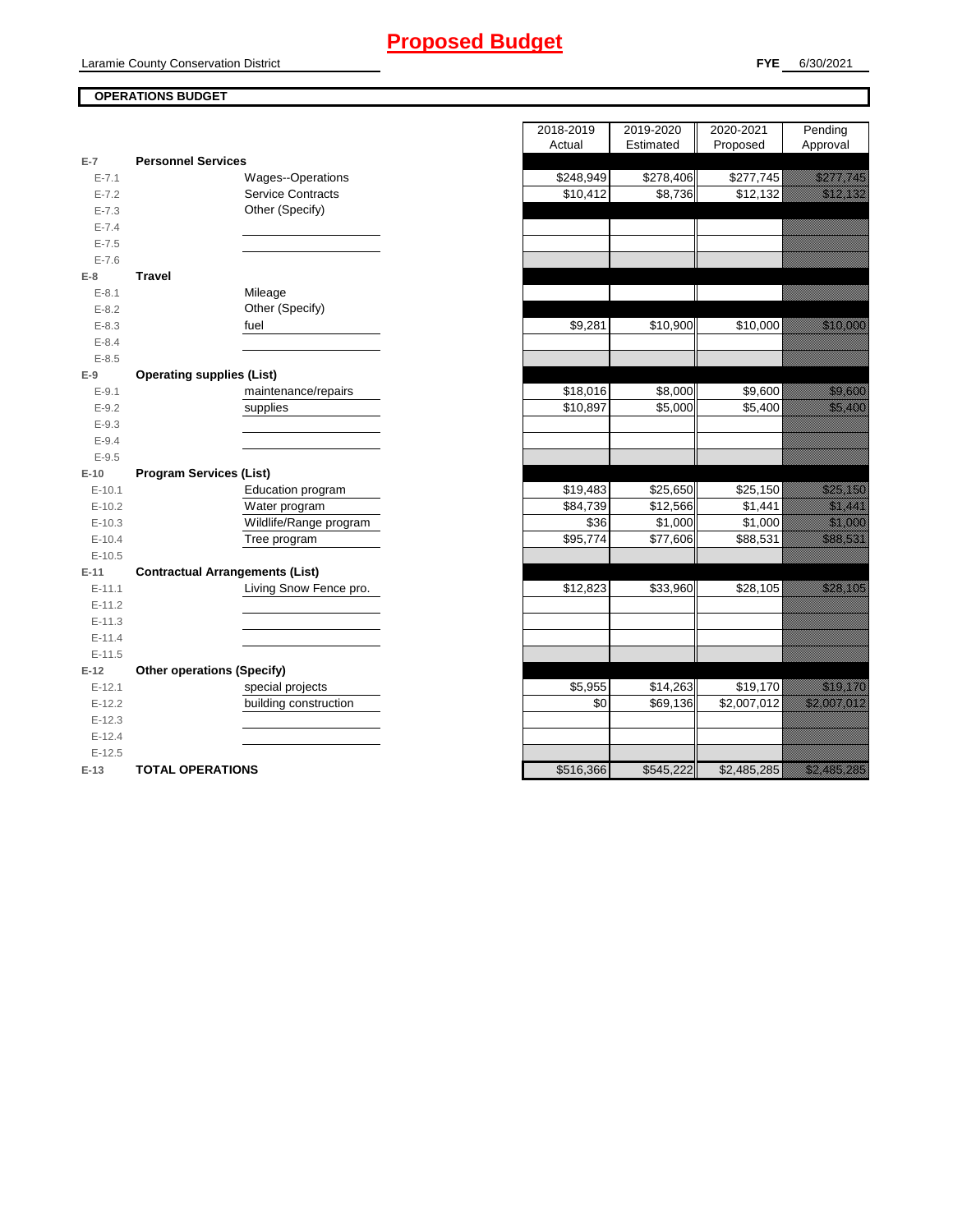## **Proposed Budget**

### **OPERATIONS BUDGET**

|           |                                        | $\cdots$  | $-$<br>- 11 | $\blacksquare$ | '                                                                                                                                                                                                                                |
|-----------|----------------------------------------|-----------|-------------|----------------|----------------------------------------------------------------------------------------------------------------------------------------------------------------------------------------------------------------------------------|
| $E-7$     | <b>Personnel Services</b>              |           |             |                |                                                                                                                                                                                                                                  |
| $E - 7.1$ | Wages--Operations                      | \$248,949 | \$278,406   | \$277,745      | <u>est til starte och starte och starte och starte och starte och starte och starte och starte och s</u>                                                                                                                         |
| $E - 7.2$ | <b>Service Contracts</b>               | \$10,412  | \$8,736     | \$12,132       | a katika katika katika katika katika katika katika katika katika katika katika katika katika katika katika kat<br>Katika katika katika katika katika katika katika katika katika katika katika katika katika katika katika katik |
| $E - 7.3$ | Other (Specify)                        |           |             |                |                                                                                                                                                                                                                                  |
| $E - 7.4$ |                                        |           |             |                |                                                                                                                                                                                                                                  |
| $E - 7.5$ |                                        |           |             |                |                                                                                                                                                                                                                                  |
| $E - 7.6$ |                                        |           |             |                |                                                                                                                                                                                                                                  |
| $E-8$     | <b>Travel</b>                          |           |             |                |                                                                                                                                                                                                                                  |
| $E - 8.1$ | Mileage                                |           |             |                |                                                                                                                                                                                                                                  |
| $E - 8.2$ | Other (Specify)                        |           |             |                |                                                                                                                                                                                                                                  |
| $E - 8.3$ | fuel                                   | \$9,281   | \$10,900    | \$10,000       | <u> Karl Sara</u>                                                                                                                                                                                                                |
| $E - 8.4$ |                                        |           |             |                |                                                                                                                                                                                                                                  |
| $E - 8.5$ |                                        |           |             |                |                                                                                                                                                                                                                                  |
| $E-9$     | <b>Operating supplies (List)</b>       |           |             |                |                                                                                                                                                                                                                                  |
| $E - 9.1$ | maintenance/repairs                    | \$18,016  | \$8,000     | \$9,600        | <u>ting ang pag</u>                                                                                                                                                                                                              |
| $E-9.2$   | supplies                               | \$10,897  | \$5,000     | \$5,400        | <u>tik ku</u>                                                                                                                                                                                                                    |
| $E - 9.3$ |                                        |           |             |                |                                                                                                                                                                                                                                  |
| $E - 9.4$ |                                        |           |             |                |                                                                                                                                                                                                                                  |
| $E-9.5$   |                                        |           |             |                |                                                                                                                                                                                                                                  |
| $E-10$    | <b>Program Services (List)</b>         |           |             |                |                                                                                                                                                                                                                                  |
| $E-10.1$  | Education program                      | \$19,483  | \$25,650    | \$25,150       | <u>i karatifan yang dipakai pada taun dipakai pada taun dipakai pada taun dipakai pada taun dipakai pada taun di</u>                                                                                                             |
| $E-10.2$  | Water program                          | \$84,739  | \$12,566    | \$1,441        | <u>ilikuwa m</u>                                                                                                                                                                                                                 |
| $E-10.3$  | Wildlife/Range program                 | \$36      | \$1,000     | \$1,000        | <u>e di seria di seria di seria di seria di seria di seria di seria di seria di seria di seria di seria di seria</u>                                                                                                             |
| $E-10.4$  | Tree program                           | \$95,774  | \$77,606    | \$88,531       | a a a an t-ainm                                                                                                                                                                                                                  |
| $E-10.5$  |                                        |           |             |                |                                                                                                                                                                                                                                  |
| $E-11$    | <b>Contractual Arrangements (List)</b> |           |             |                |                                                                                                                                                                                                                                  |
| $E-11.1$  | Living Snow Fence pro.                 | \$12,823  | \$33,960    | \$28,105       | <u> Karl Sara</u>                                                                                                                                                                                                                |
| $E-11.2$  |                                        |           |             |                |                                                                                                                                                                                                                                  |
| $E-11.3$  |                                        |           |             |                |                                                                                                                                                                                                                                  |
| $E-11.4$  |                                        |           |             |                |                                                                                                                                                                                                                                  |
| $E-11.5$  |                                        |           |             |                |                                                                                                                                                                                                                                  |
| $E-12$    | <b>Other operations (Specify)</b>      |           |             |                |                                                                                                                                                                                                                                  |
| $E-12.1$  | special projects                       | \$5,955   | \$14,263    | \$19,170       | <u>erikali kontrollerin kontrollerin kontrollerin kontrollerin kontrollerin kontrollerin kontrollerin kontroller</u>                                                                                                             |
| $E-12.2$  | building construction                  | \$0       | \$69,136    | \$2,007,012    | <u>i Martin Martin Sa</u>                                                                                                                                                                                                        |
| $E-12.3$  |                                        |           |             |                |                                                                                                                                                                                                                                  |
| $E-12.4$  |                                        |           |             |                |                                                                                                                                                                                                                                  |
| $E-12.5$  |                                        |           |             |                |                                                                                                                                                                                                                                  |
| $E-13$    | <b>TOTAL OPERATIONS</b>                | \$516,366 | \$545,222   | \$2,485,285    |                                                                                                                                                                                                                                  |

|                |                                        | 2018-2019 | 2019-2020 | 2020-2021   | Pending                                                                                                                                                                                                                          |
|----------------|----------------------------------------|-----------|-----------|-------------|----------------------------------------------------------------------------------------------------------------------------------------------------------------------------------------------------------------------------------|
|                |                                        | Actual    | Estimated | Proposed    | Approval                                                                                                                                                                                                                         |
| $\overline{7}$ | <b>Personnel Services</b>              |           |           |             |                                                                                                                                                                                                                                  |
| $E - 7.1$      | Wages--Operations                      | \$248,949 | \$278,406 | \$277,745   | <u> Kalifornia k</u>                                                                                                                                                                                                             |
| $E - 7.2$      | <b>Service Contracts</b>               | \$10,412  | \$8,736   | \$12,132    | <u>, and the second control of the second control of the second control of the second control of the second con</u>                                                                                                              |
| $E - 7.3$      | Other (Specify)                        |           |           |             |                                                                                                                                                                                                                                  |
| $E - 7.4$      |                                        |           |           |             |                                                                                                                                                                                                                                  |
| $E - 7.5$      |                                        |           |           |             |                                                                                                                                                                                                                                  |
| $E - 7.6$      |                                        |           |           |             |                                                                                                                                                                                                                                  |
| 8              | <b>Travel</b>                          |           |           |             |                                                                                                                                                                                                                                  |
| $E - 8.1$      | Mileage                                |           |           |             |                                                                                                                                                                                                                                  |
| $E - 8.2$      | Other (Specify)                        |           |           |             |                                                                                                                                                                                                                                  |
| $E - 8.3$      | fuel                                   | \$9,281   | \$10,900  | \$10,000    | a katalunggal sa katalunggal sa katalunggal sa katalunggal sa katalunggal sa katalunggal sa katalunggal sa kat                                                                                                                   |
| $E - 8.4$      |                                        |           |           |             |                                                                                                                                                                                                                                  |
| $E - 8.5$      |                                        |           |           |             |                                                                                                                                                                                                                                  |
| 9              | <b>Operating supplies (List)</b>       |           |           |             |                                                                                                                                                                                                                                  |
| $E-9.1$        | maintenance/repairs                    | \$18,016  | \$8,000   | \$9,600     | <u>tionalisti</u>                                                                                                                                                                                                                |
| $E-9.2$        | supplies                               | \$10,897  | \$5,000   | \$5,400     | <u>in Maria Santa Barat da Barat da Barat da Barat da Barat da Barat da Barat da Barat da Barat da Barat da Bara</u>                                                                                                             |
| $E - 9.3$      |                                        |           |           |             |                                                                                                                                                                                                                                  |
| $E - 9.4$      |                                        |           |           |             |                                                                                                                                                                                                                                  |
| $E - 9.5$      |                                        |           |           |             |                                                                                                                                                                                                                                  |
| 10             | <b>Program Services (List)</b>         |           |           |             |                                                                                                                                                                                                                                  |
| $E-10.1$       | Education program                      | \$19,483  | \$25,650  | \$25,150    | <u> Karl Barat Sara</u>                                                                                                                                                                                                          |
| $E-10.2$       | Water program                          | \$84,739  | \$12,566  | \$1,441     | <u>i ka</u>                                                                                                                                                                                                                      |
| $E-10.3$       | Wildlife/Range program                 | \$36      | \$1,000   | \$1,000     | <u> Karlin Sara</u>                                                                                                                                                                                                              |
| $E-10.4$       | Tree program                           | \$95,774  | \$77,606  | \$88,531    | <u>in dhe që përfshën për përfshën për përfshën për përfshën për përfshën për përfshën për përfshën për përfshën</u>                                                                                                             |
| $E-10.5$       |                                        |           |           |             |                                                                                                                                                                                                                                  |
| $-11$          | <b>Contractual Arrangements (List)</b> |           |           |             |                                                                                                                                                                                                                                  |
| $E-11.1$       | Living Snow Fence pro.                 | \$12,823  | \$33,960  | \$28,105    | <u> Karl Sara</u>                                                                                                                                                                                                                |
| $E-11.2$       |                                        |           |           |             |                                                                                                                                                                                                                                  |
| $E-11.3$       |                                        |           |           |             |                                                                                                                                                                                                                                  |
| $E-11.4$       |                                        |           |           |             |                                                                                                                                                                                                                                  |
| $E-11.5$       |                                        |           |           |             |                                                                                                                                                                                                                                  |
| 12             | <b>Other operations (Specify)</b>      |           |           |             |                                                                                                                                                                                                                                  |
| $E-12.1$       | special projects                       | \$5,955   | \$14,263  | \$19,170    | <u>e di seria di seria di seria di seria di seria di seria di seria di seria di seria di seria di seria di seria</u>                                                                                                             |
| $E-12.2$       | building construction                  | \$0       | \$69,136  | \$2,007,012 | <u>estas politika politika politika politika politika politika politika politika politika politika politika poli</u>                                                                                                             |
| $E-12.3$       |                                        |           |           |             |                                                                                                                                                                                                                                  |
| $E-12.4$       |                                        |           |           |             |                                                                                                                                                                                                                                  |
| $E-12.5$       |                                        |           |           |             |                                                                                                                                                                                                                                  |
| $13 -$         | TOTAL OPERATIONS                       | \$516.366 | \$54522   | \$2485285   | a katika katika katika katika katika katika katika katika katika katika katika katika katika katika katika kat<br>Katika katika katika katika katika katika katika katika katika katika katika katika katika katika katika katik |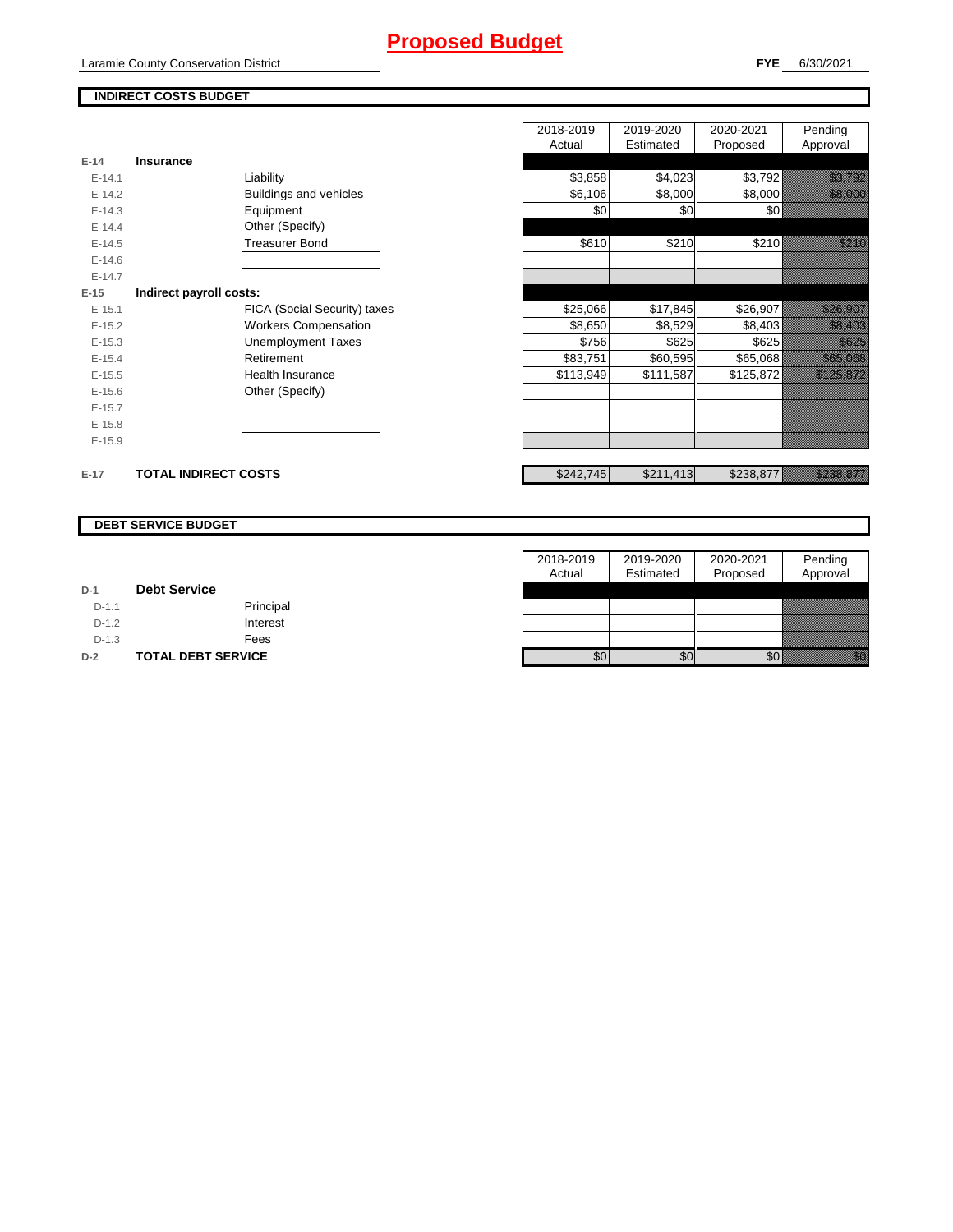## **Proposed Budget**

Laramie County Conservation District

## **INDIRECT COSTS BUDGET**

|          |                              | 2018-2019<br>Actual | 2019-2020<br>Estimated | 2020-2021<br>Proposed | Pending<br>Approval                                                                                                   |
|----------|------------------------------|---------------------|------------------------|-----------------------|-----------------------------------------------------------------------------------------------------------------------|
| $E-14$   | Insurance                    |                     |                        |                       |                                                                                                                       |
| $E-14.1$ | Liability                    | \$3,858             | \$4,023                | \$3,792               | <u>ti kalendari komunisti komunisti komunisti komunisti komunisti komunisti komunisti komunisti komunisti komunis</u> |
| $E-14.2$ | Buildings and vehicles       | \$6,106             | \$8,000                | \$8,000               | <u>ti ka</u>                                                                                                          |
| $E-14.3$ | Equipment                    | \$0                 | \$0                    | \$0                   |                                                                                                                       |
| $E-14.4$ | Other (Specify)              |                     |                        |                       |                                                                                                                       |
| $E-14.5$ | <b>Treasurer Bond</b>        | \$610               | \$210                  | \$210                 | <u>till fra</u>                                                                                                       |
| $E-14.6$ |                              |                     |                        |                       |                                                                                                                       |
| $E-14.7$ |                              |                     |                        |                       |                                                                                                                       |
| $E-15$   | Indirect payroll costs:      |                     |                        |                       |                                                                                                                       |
| $E-15.1$ | FICA (Social Security) taxes | \$25,066            | \$17,845               | \$26,907              | <u> Karl Sara</u>                                                                                                     |
| $E-15.2$ | <b>Workers Compensation</b>  | \$8,650             | \$8,529                | \$8,403               | <u>tik kuning</u>                                                                                                     |
| $E-15.3$ | <b>Unemployment Taxes</b>    | \$756               | \$625                  | \$625                 | <u> Kalifornia (</u>                                                                                                  |
| $E-15.4$ | Retirement                   | \$83,751            | \$60,595               | \$65,068              | <u> Karl Bara</u>                                                                                                     |
| $E-15.5$ | <b>Health Insurance</b>      | \$113,949           | \$111,587              | \$125,872             | <u> Edificial I</u>                                                                                                   |
| $E-15.6$ | Other (Specify)              |                     |                        |                       |                                                                                                                       |
| $E-15.7$ |                              |                     |                        |                       |                                                                                                                       |
| $E-15.8$ |                              |                     |                        |                       |                                                                                                                       |
| $E-15.9$ |                              |                     |                        |                       |                                                                                                                       |
| $E-17$   | <b>TOTAL INDIRECT COSTS</b>  | \$242,745           | \$211,413              | \$238,877             | <u> Kalendari Ka</u>                                                                                                  |

#### **DEBT SERVICE BUDGET**

|         |                           | 2018-2019 | 2019-2020 | 2020-2021 | Pending  |
|---------|---------------------------|-----------|-----------|-----------|----------|
|         |                           | Actual    | Estimated | Proposed  | Approval |
| $D-1$   | <b>Debt Service</b>       |           |           |           |          |
| $D-1.1$ | Principal                 |           |           |           |          |
| $D-1.2$ | Interest                  |           |           |           |          |
| $D-1.3$ | Fees                      |           |           |           |          |
| $D-2$   | <b>TOTAL DEBT SERVICE</b> | \$0       | \$0       | \$0       |          |